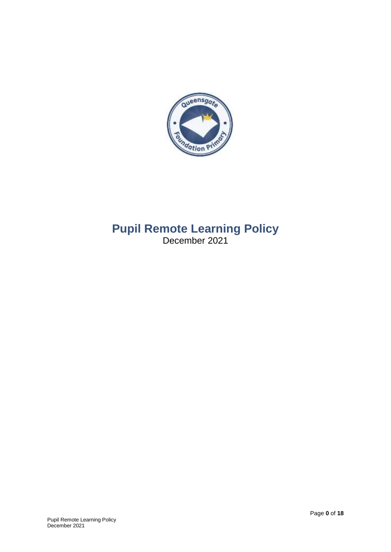

# **Pupil Remote Learning Policy** December 2021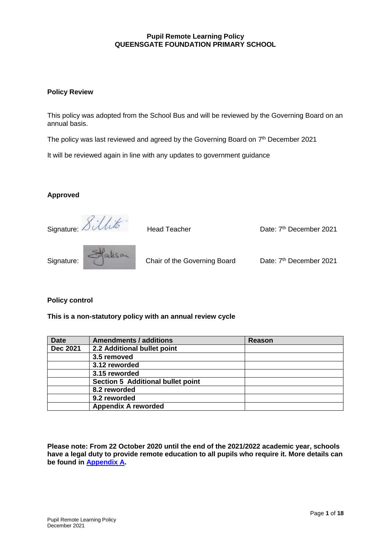#### **Pupil Remote Learning Policy QUEENSGATE FOUNDATION PRIMARY SCHOOL**

#### **Policy Review**

This policy was adopted from the School Bus and will be reviewed by the Governing Board on an annual basis.

The policy was last reviewed and agreed by the Governing Board on 7<sup>th</sup> December 2021

It will be reviewed again in line with any updates to government guidance

#### **Approved**

Signature: *Sillito* Head Teacher Date: 7<sup>th</sup> December 2021 Signature: Chair of the Governing Board Date: 7<sup>th</sup> December 2021

#### **Policy control**

**This is a non-statutory policy with an annual review cycle**

| <b>Date</b>     | <b>Amendments / additions</b>     | Reason |
|-----------------|-----------------------------------|--------|
| <b>Dec 2021</b> | 2.2 Additional bullet point       |        |
|                 | 3.5 removed                       |        |
|                 | 3.12 reworded                     |        |
|                 | 3.15 reworded                     |        |
|                 | Section 5 Additional bullet point |        |
|                 | 8.2 reworded                      |        |
|                 | 9.2 reworded                      |        |
|                 | <b>Appendix A reworded</b>        |        |

**Please note: From 22 October 2020 until the end of the 2021/2022 academic year, schools have a legal duty to provide remote education to all pupils who require it. More details can be found in [Appendix A.](#page-13-0)**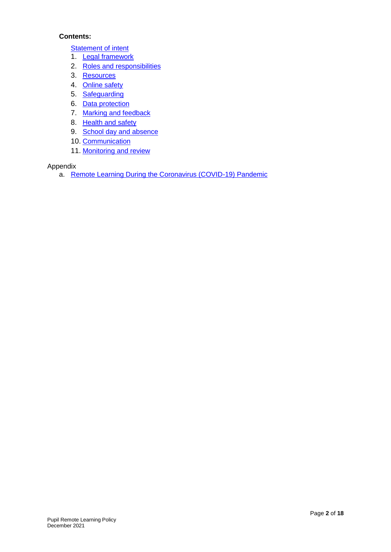### **Contents:**

**[Statement of intent](#page-3-0)** 

- 1. [Legal framework](#page-4-0)
- 2. [Roles and responsibilities](#page-4-1)
- 3. [Resources](#page-7-0)
- 4. [Online safety](#page-8-0)
- 5. [Safeguarding](#page-9-0)
- 6. [Data protection](#page-10-0)
- 7. [Marking and feedback](#page-11-0)
- 8. [Health and safety](#page-11-0)
- 9. [School day and absence](#page-11-1)
- 10. [Communication](#page-11-2)
- 11. [Monitoring and review](#page-12-0)

Appendix

a. [Remote Learning During the Coronavirus \(COVID-19\) Pandemic](#page-13-0)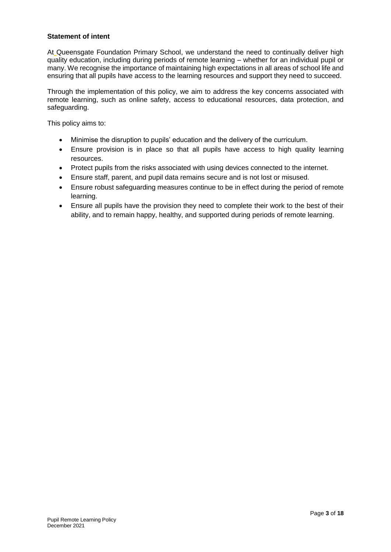#### <span id="page-3-0"></span>**Statement of intent**

At Queensgate Foundation Primary School, we understand the need to continually deliver high quality education, including during periods of remote learning – whether for an individual pupil or many. We recognise the importance of maintaining high expectations in all areas of school life and ensuring that all pupils have access to the learning resources and support they need to succeed.

Through the implementation of this policy, we aim to address the key concerns associated with remote learning, such as online safety, access to educational resources, data protection, and safeguarding.

This policy aims to:

- Minimise the disruption to pupils' education and the delivery of the curriculum.
- Ensure provision is in place so that all pupils have access to high quality learning resources.
- Protect pupils from the risks associated with using devices connected to the internet.
- Ensure staff, parent, and pupil data remains secure and is not lost or misused.
- Ensure robust safeguarding measures continue to be in effect during the period of remote learning.
- Ensure all pupils have the provision they need to complete their work to the best of their ability, and to remain happy, healthy, and supported during periods of remote learning.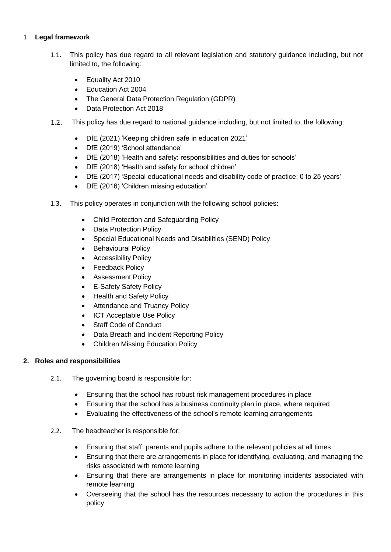### <span id="page-4-0"></span>1. **Legal framework**

- 1.1. This policy has due regard to all relevant legislation and statutory guidance including, but not limited to, the following:
	- Equality Act 2010
	- Education Act 2004
	- The General Data Protection Regulation (GDPR)
	- Data Protection Act 2018
- $1.2.$ This policy has due regard to national guidance including, but not limited to, the following:
	- DfE (2021) 'Keeping children safe in education 2021'
	- DfE (2019) 'School attendance'
	- DfE (2018) 'Health and safety: responsibilities and duties for schools'
	- DfE (2018) 'Health and safety for school children'
	- DfE (2017) 'Special educational needs and disability code of practice: 0 to 25 years'
	- DfE (2016) 'Children missing education'
- 1.3. This policy operates in conjunction with the following school policies:
	- Child Protection and Safeguarding Policy
	- Data Protection Policy
	- Special Educational Needs and Disabilities (SEND) Policy
	- Behavioural Policy
	- **•** Accessibility Policy
	- Feedback Policy
	- **•** Assessment Policy
	- E-Safety Safety Policy
	- Health and Safety Policy
	- Attendance and Truancy Policy
	- ICT Acceptable Use Policy
	- Staff Code of Conduct
	- Data Breach and Incident Reporting Policy
	- Children Missing Education Policy

### <span id="page-4-1"></span>**2. Roles and responsibilities**

- 2.1. The governing board is responsible for:
	- Ensuring that the school has robust risk management procedures in place
	- Ensuring that the school has a business continuity plan in place, where required
	- Evaluating the effectiveness of the school's remote learning arrangements

### 2.2. The headteacher is responsible for:

- Ensuring that staff, parents and pupils adhere to the relevant policies at all times
- Ensuring that there are arrangements in place for identifying, evaluating, and managing the risks associated with remote learning
- Ensuring that there are arrangements in place for monitoring incidents associated with remote learning
- Overseeing that the school has the resources necessary to action the procedures in this policy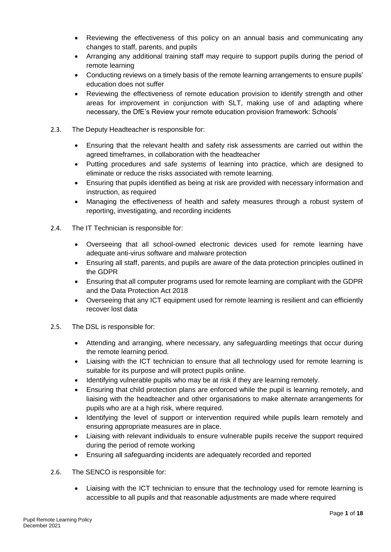- Reviewing the effectiveness of this policy on an annual basis and communicating any changes to staff, parents, and pupils
- Arranging any additional training staff may require to support pupils during the period of remote learning
- Conducting reviews on a timely basis of the remote learning arrangements to ensure pupils' education does not suffer
- Reviewing the effectiveness of remote education provision to identify strength and other areas for improvement in conjunction with SLT, making use of and adapting where necessary, the DfE's Review your remote education provision framework: Schools'
- 2.3. The Deputy Headteacher is responsible for:
	- Ensuring that the relevant health and safety risk assessments are carried out within the agreed timeframes, in collaboration with the headteacher
	- Putting procedures and safe systems of learning into practice, which are designed to eliminate or reduce the risks associated with remote learning.
	- Ensuring that pupils identified as being at risk are provided with necessary information and instruction, as required
	- Managing the effectiveness of health and safety measures through a robust system of reporting, investigating, and recording incidents
- 2.4. The IT Technician is responsible for:
	- Overseeing that all school-owned electronic devices used for remote learning have adequate anti-virus software and malware protection
	- Ensuring all staff, parents, and pupils are aware of the data protection principles outlined in the GDPR
	- Ensuring that all computer programs used for remote learning are compliant with the GDPR and the Data Protection Act 2018
	- Overseeing that any ICT equipment used for remote learning is resilient and can efficiently recover lost data
- 2.5. The DSL is responsible for:
	- Attending and arranging, where necessary, any safeguarding meetings that occur during the remote learning period.
	- Liaising with the ICT technician to ensure that all technology used for remote learning is suitable for its purpose and will protect pupils online.
	- Identifying vulnerable pupils who may be at risk if they are learning remotely.
	- Ensuring that child protection plans are enforced while the pupil is learning remotely, and liaising with the headteacher and other organisations to make alternate arrangements for pupils who are at a high risk, where required.
	- Identifying the level of support or intervention required while pupils learn remotely and ensuring appropriate measures are in place.
	- Liaising with relevant individuals to ensure vulnerable pupils receive the support required during the period of remote working
	- Ensuring all safeguarding incidents are adequately recorded and reported
- 2.6. The SENCO is responsible for:
	- Liaising with the ICT technician to ensure that the technology used for remote learning is accessible to all pupils and that reasonable adjustments are made where required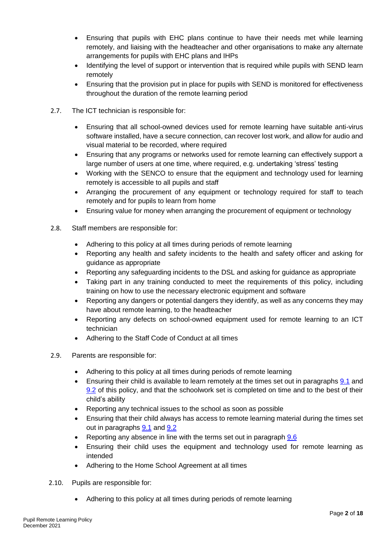- Ensuring that pupils with EHC plans continue to have their needs met while learning remotely, and liaising with the headteacher and other organisations to make any alternate arrangements for pupils with EHC plans and IHPs
- Identifying the level of support or intervention that is required while pupils with SEND learn remotely
- Ensuring that the provision put in place for pupils with SEND is monitored for effectiveness throughout the duration of the remote learning period
- 2.7. The ICT technician is responsible for:
	- Ensuring that all school-owned devices used for remote learning have suitable anti-virus software installed, have a secure connection, can recover lost work, and allow for audio and visual material to be recorded, where required
	- Ensuring that any programs or networks used for remote learning can effectively support a large number of users at one time, where required, e.g. undertaking 'stress' testing
	- Working with the SENCO to ensure that the equipment and technology used for learning remotely is accessible to all pupils and staff
	- Arranging the procurement of any equipment or technology required for staff to teach remotely and for pupils to learn from home
	- Ensuring value for money when arranging the procurement of equipment or technology
- 2.8. Staff members are responsible for:
	- Adhering to this policy at all times during periods of remote learning
	- Reporting any health and safety incidents to the health and safety officer and asking for guidance as appropriate
	- Reporting any safeguarding incidents to the DSL and asking for guidance as appropriate
	- Taking part in any training conducted to meet the requirements of this policy, including training on how to use the necessary electronic equipment and software
	- Reporting any dangers or potential dangers they identify, as well as any concerns they may have about remote learning, to the headteacher
	- Reporting any defects on school-owned equipment used for remote learning to an ICT technician
	- Adhering to the Staff Code of Conduct at all times
- 2.9. Parents are responsible for:
	- Adhering to this policy at all times during periods of remote learning
	- Ensuring their child is available to learn remotely at the times set out in paragraphs [9.1](#page-11-3) and [9.2](#page-11-4) of this policy, and that the schoolwork set is completed on time and to the best of their child's ability
	- Reporting any technical issues to the school as soon as possible
	- Ensuring that their child always has access to remote learning material during the times set out in paragraphs [9.1](#page-11-3) and [9.2](#page-11-4)
	- Reporting any absence in line with the terms set out in paragraph 9.6
	- Ensuring their child uses the equipment and technology used for remote learning as intended
	- Adhering to the Home School Agreement at all times
- 2.10. Pupils are responsible for:
	- Adhering to this policy at all times during periods of remote learning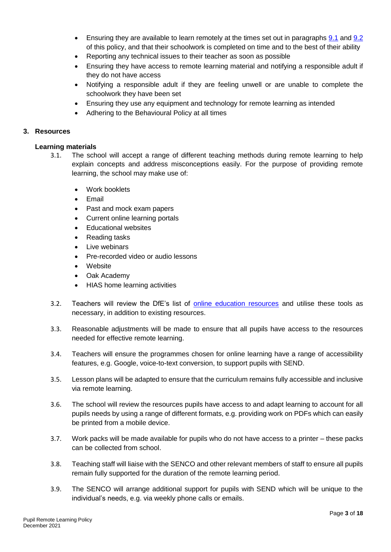- Ensuring they are available to learn remotely at the times set out in paragraphs [9.1](#page-11-3) and [9.2](#page-11-4) of this policy, and that their schoolwork is completed on time and to the best of their ability
- Reporting any technical issues to their teacher as soon as possible
- Ensuring they have access to remote learning material and notifying a responsible adult if they do not have access
- Notifying a responsible adult if they are feeling unwell or are unable to complete the schoolwork they have been set
- Ensuring they use any equipment and technology for remote learning as intended
- Adhering to the Behavioural Policy at all times

#### <span id="page-7-0"></span>**3. Resources**

#### **Learning materials**

- 3.1. The school will accept a range of different teaching methods during remote learning to help explain concepts and address misconceptions easily. For the purpose of providing remote learning, the school may make use of:
	- Work booklets
	- Email
	- Past and mock exam papers
	- Current online learning portals
	- Educational websites
	- Reading tasks
	- Live webinars
	- Pre-recorded video or audio lessons
	- **Website**
	- Oak Academy
	- HIAS home learning activities
- 3.2. Teachers will review the DfE's list of [online education resources](https://www.gov.uk/government/publications/coronavirus-covid-19-online-education-resources) and utilise these tools as necessary, in addition to existing resources.
- 3.3. Reasonable adjustments will be made to ensure that all pupils have access to the resources needed for effective remote learning.
- 3.4. Teachers will ensure the programmes chosen for online learning have a range of accessibility features, e.g. Google, voice-to-text conversion, to support pupils with SEND.
- 3.5. Lesson plans will be adapted to ensure that the curriculum remains fully accessible and inclusive via remote learning.
- 3.6. The school will review the resources pupils have access to and adapt learning to account for all pupils needs by using a range of different formats, e.g. providing work on PDFs which can easily be printed from a mobile device.
- 3.7. Work packs will be made available for pupils who do not have access to a printer these packs can be collected from school.
- 3.8. Teaching staff will liaise with the SENCO and other relevant members of staff to ensure all pupils remain fully supported for the duration of the remote learning period.
- 3.9. The SENCO will arrange additional support for pupils with SEND which will be unique to the individual's needs, e.g. via weekly phone calls or emails.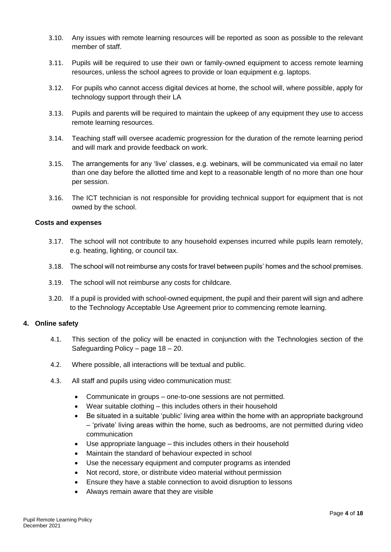- 3.10. Any issues with remote learning resources will be reported as soon as possible to the relevant member of staff.
- 3.11. Pupils will be required to use their own or family-owned equipment to access remote learning resources, unless the school agrees to provide or loan equipment e.g. laptops.
- 3.12. For pupils who cannot access digital devices at home, the school will, where possible, apply for technology support through their LA
- 3.13. Pupils and parents will be required to maintain the upkeep of any equipment they use to access remote learning resources.
- 3.14. Teaching staff will oversee academic progression for the duration of the remote learning period and will mark and provide feedback on work.
- 3.15. The arrangements for any 'live' classes, e.g. webinars, will be communicated via email no later than one day before the allotted time and kept to a reasonable length of no more than one hour per session.
- 3.16. The ICT technician is not responsible for providing technical support for equipment that is not owned by the school.

#### **Costs and expenses**

- 3.17. The school will not contribute to any household expenses incurred while pupils learn remotely, e.g. heating, lighting, or council tax.
- 3.18. The school will not reimburse any costs for travel between pupils' homes and the school premises.
- 3.19. The school will not reimburse any costs for childcare.
- 3.20. If a pupil is provided with school-owned equipment, the pupil and their parent will sign and adhere to the Technology Acceptable Use Agreement prior to commencing remote learning.

#### <span id="page-8-0"></span>**4. Online safety**

- 4.1. This section of the policy will be enacted in conjunction with the Technologies section of the Safeguarding Policy – page 18 – 20.
- 4.2. Where possible, all interactions will be textual and public.
- 4.3. All staff and pupils using video communication must:
	- Communicate in groups one-to-one sessions are not permitted.
	- Wear suitable clothing this includes others in their household
	- Be situated in a suitable 'public' living area within the home with an appropriate background – 'private' living areas within the home, such as bedrooms, are not permitted during video communication
	- Use appropriate language this includes others in their household
	- Maintain the standard of behaviour expected in school
	- Use the necessary equipment and computer programs as intended
	- Not record, store, or distribute video material without permission
	- Ensure they have a stable connection to avoid disruption to lessons
	- Always remain aware that they are visible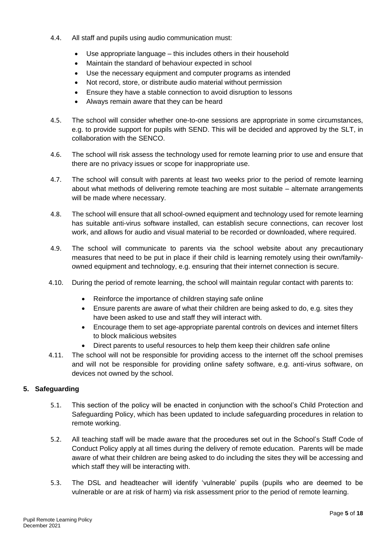- 4.4. All staff and pupils using audio communication must:
	- Use appropriate language this includes others in their household
	- Maintain the standard of behaviour expected in school
	- Use the necessary equipment and computer programs as intended
	- Not record, store, or distribute audio material without permission
	- Ensure they have a stable connection to avoid disruption to lessons
	- Always remain aware that they can be heard
- 4.5. The school will consider whether one-to-one sessions are appropriate in some circumstances, e.g. to provide support for pupils with SEND. This will be decided and approved by the SLT, in collaboration with the SENCO.
- 4.6. The school will risk assess the technology used for remote learning prior to use and ensure that there are no privacy issues or scope for inappropriate use.
- 4.7. The school will consult with parents at least two weeks prior to the period of remote learning about what methods of delivering remote teaching are most suitable – alternate arrangements will be made where necessary.
- 4.8. The school will ensure that all school-owned equipment and technology used for remote learning has suitable anti-virus software installed, can establish secure connections, can recover lost work, and allows for audio and visual material to be recorded or downloaded, where required.
- 4.9. The school will communicate to parents via the school website about any precautionary measures that need to be put in place if their child is learning remotely using their own/familyowned equipment and technology, e.g. ensuring that their internet connection is secure.
- 4.10. During the period of remote learning, the school will maintain regular contact with parents to:
	- Reinforce the importance of children staying safe online
	- Ensure parents are aware of what their children are being asked to do, e.g. sites they have been asked to use and staff they will interact with.
	- Encourage them to set age-appropriate parental controls on devices and internet filters to block malicious websites
	- Direct parents to useful resources to help them keep their children safe online
- 4.11. The school will not be responsible for providing access to the internet off the school premises and will not be responsible for providing online safety software, e.g. anti-virus software, on devices not owned by the school.

### <span id="page-9-0"></span>**5. Safeguarding**

- 5.1. This section of the policy will be enacted in conjunction with the school's Child Protection and Safeguarding Policy, which has been updated to include safeguarding procedures in relation to remote working.
- 5.2. All teaching staff will be made aware that the procedures set out in the School's Staff Code of Conduct Policy apply at all times during the delivery of remote education. Parents will be made aware of what their children are being asked to do including the sites they will be accessing and which staff they will be interacting with.
- 5.3. The DSL and headteacher will identify 'vulnerable' pupils (pupils who are deemed to be vulnerable or are at risk of harm) via risk assessment prior to the period of remote learning.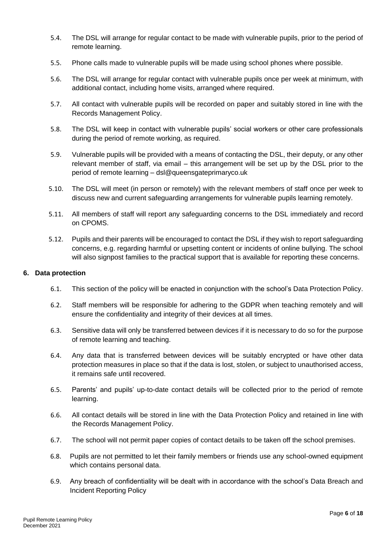- 5.4. The DSL will arrange for regular contact to be made with vulnerable pupils, prior to the period of remote learning.
- 5.5. Phone calls made to vulnerable pupils will be made using school phones where possible.
- 5.6. The DSL will arrange for regular contact with vulnerable pupils once per week at minimum, with additional contact, including home visits, arranged where required.
- 5.7. All contact with vulnerable pupils will be recorded on paper and suitably stored in line with the Records Management Policy.
- 5.8. The DSL will keep in contact with vulnerable pupils' social workers or other care professionals during the period of remote working, as required.
- 5.9. Vulnerable pupils will be provided with a means of contacting the DSL, their deputy, or any other relevant member of staff, via email – this arrangement will be set up by the DSL prior to the period of remote learning – dsl@queensgateprimaryco.uk
- 5.10. The DSL will meet (in person or remotely) with the relevant members of staff once per week to discuss new and current safeguarding arrangements for vulnerable pupils learning remotely.
- 5.11. All members of staff will report any safeguarding concerns to the DSL immediately and record on CPOMS.
- 5.12. Pupils and their parents will be encouraged to contact the DSL if they wish to report safeguarding concerns, e.g. regarding harmful or upsetting content or incidents of online bullying. The school will also signpost families to the practical support that is available for reporting these concerns.

#### <span id="page-10-0"></span>**6. Data protection**

- 6.1. This section of the policy will be enacted in conjunction with the school's Data Protection Policy.
- 6.2. Staff members will be responsible for adhering to the GDPR when teaching remotely and will ensure the confidentiality and integrity of their devices at all times.
- 6.3. Sensitive data will only be transferred between devices if it is necessary to do so for the purpose of remote learning and teaching.
- 6.4. Any data that is transferred between devices will be suitably encrypted or have other data protection measures in place so that if the data is lost, stolen, or subject to unauthorised access, it remains safe until recovered.
- 6.5. Parents' and pupils' up-to-date contact details will be collected prior to the period of remote learning.
- 6.6. All contact details will be stored in line with the Data Protection Policy and retained in line with the Records Management Policy.
- 6.7. The school will not permit paper copies of contact details to be taken off the school premises.
- 6.8. Pupils are not permitted to let their family members or friends use any school-owned equipment which contains personal data.
- 6.9. Any breach of confidentiality will be dealt with in accordance with the school's Data Breach and Incident Reporting Policy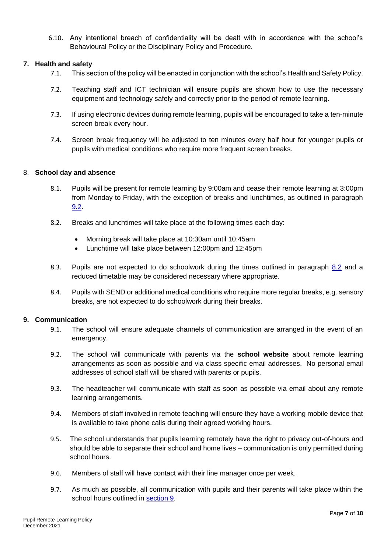6.10. Any intentional breach of confidentiality will be dealt with in accordance with the school's Behavioural Policy or the Disciplinary Policy and Procedure.

#### <span id="page-11-0"></span>**7. Health and safety**

- 7.1. This section of the policy will be enacted in conjunction with the school's Health and Safety Policy.
- 7.2. Teaching staff and ICT technician will ensure pupils are shown how to use the necessary equipment and technology safely and correctly prior to the period of remote learning.
- 7.3. If using electronic devices during remote learning, pupils will be encouraged to take a ten-minute screen break every hour.
- 7.4. Screen break frequency will be adjusted to ten minutes every half hour for younger pupils or pupils with medical conditions who require more frequent screen breaks.

#### <span id="page-11-3"></span><span id="page-11-1"></span>8. **School day and absence**

- 8.1. Pupils will be present for remote learning by 9:00am and cease their remote learning at 3:00pm from Monday to Friday, with the exception of breaks and lunchtimes, as outlined in paragraph [9.2.](#page-11-4)
- <span id="page-11-4"></span>8.2. Breaks and lunchtimes will take place at the following times each day:
	- Morning break will take place at 10:30am until 10:45am
	- Lunchtime will take place between 12:00pm and 12:45pm
- 8.3. Pupils are not expected to do schoolwork during the times outlined in paragraph [8.2](#page-11-4) and a reduced timetable may be considered necessary where appropriate.
- 8.4. Pupils with SEND or additional medical conditions who require more regular breaks, e.g. sensory breaks, are not expected to do schoolwork during their breaks.

#### <span id="page-11-2"></span>**9. Communication**

- 9.1. The school will ensure adequate channels of communication are arranged in the event of an emergency.
- 9.2. The school will communicate with parents via the **school website** about remote learning arrangements as soon as possible and via class specific email addresses. No personal email addresses of school staff will be shared with parents or pupils.
- 9.3. The headteacher will communicate with staff as soon as possible via email about any remote learning arrangements.
- 9.4. Members of staff involved in remote teaching will ensure they have a working mobile device that is available to take phone calls during their agreed working hours.
- 9.5. The school understands that pupils learning remotely have the right to privacy out-of-hours and should be able to separate their school and home lives – communication is only permitted during school hours.
- 9.6. Members of staff will have contact with their line manager once per week.
- 9.7. As much as possible, all communication with pupils and their parents will take place within the school hours outlined in [section 9.](#page-11-1)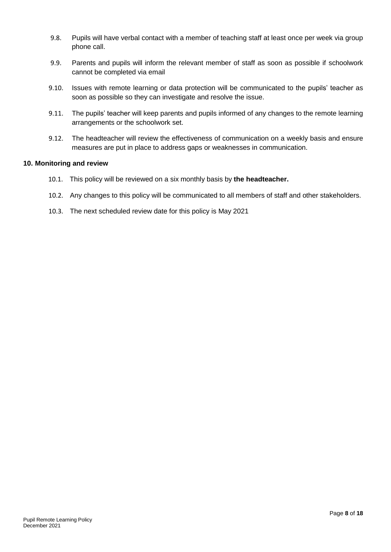- 9.8. Pupils will have verbal contact with a member of teaching staff at least once per week via group phone call.
- 9.9. Parents and pupils will inform the relevant member of staff as soon as possible if schoolwork cannot be completed via email
- 9.10. Issues with remote learning or data protection will be communicated to the pupils' teacher as soon as possible so they can investigate and resolve the issue.
- 9.11. The pupils' teacher will keep parents and pupils informed of any changes to the remote learning arrangements or the schoolwork set.
- 9.12. The headteacher will review the effectiveness of communication on a weekly basis and ensure measures are put in place to address gaps or weaknesses in communication.

#### <span id="page-12-0"></span>**10. Monitoring and review**

- 10.1. This policy will be reviewed on a six monthly basis by **the headteacher.**
- 10.2. Any changes to this policy will be communicated to all members of staff and other stakeholders.
- 10.3. The next scheduled review date for this policy is May 2021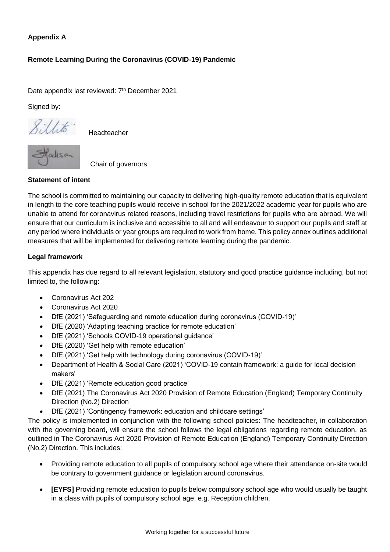### <span id="page-13-0"></span>**Appendix A**

### **Remote Learning During the Coronavirus (COVID-19) Pandemic**

Date appendix last reviewed: 7<sup>th</sup> December 2021

Signed by:

*<i><u>Sillito*</u> Headteacher



Chair of governors

#### **Statement of intent**

The school is committed to maintaining our capacity to delivering high-quality remote education that is equivalent in length to the core teaching pupils would receive in school for the 2021/2022 academic year for pupils who are unable to attend for coronavirus related reasons, including travel restrictions for pupils who are abroad. We will ensure that our curriculum is inclusive and accessible to all and will endeavour to support our pupils and staff at any period where individuals or year groups are required to work from home. This policy annex outlines additional measures that will be implemented for delivering remote learning during the pandemic.

#### **Legal framework**

This appendix has due regard to all relevant legislation, statutory and good practice guidance including, but not limited to, the following:

- Coronavirus Act 202
- Coronavirus Act 2020
- DfE (2021) 'Safeguarding and remote education during coronavirus (COVID-19)'
- DfE (2020) 'Adapting teaching practice for remote education'
- DfE (2021) 'Schools COVID-19 operational guidance'
- DfE (2020) 'Get help with remote education'
- DfE (2021) 'Get help with technology during coronavirus (COVID-19)'
- Department of Health & Social Care (2021) 'COVID-19 contain framework: a guide for local decision makers'
- DfE (2021) 'Remote education good practice'
- DfE (2021) The Coronavirus Act 2020 Provision of Remote Education (England) Temporary Continuity Direction (No.2) Direction
- DfE (2021) 'Contingency framework: education and childcare settings'

The policy is implemented in conjunction with the following school policies: The headteacher, in collaboration with the governing board, will ensure the school follows the legal obligations regarding remote education, as outlined in The Coronavirus Act 2020 Provision of Remote Education (England) Temporary Continuity Direction (No.2) Direction. This includes:

- Providing remote education to all pupils of compulsory school age where their attendance on-site would be contrary to government guidance or legislation around coronavirus.
- **[EYFS]** Providing remote education to pupils below compulsory school age who would usually be taught in a class with pupils of compulsory school age, e.g. Reception children.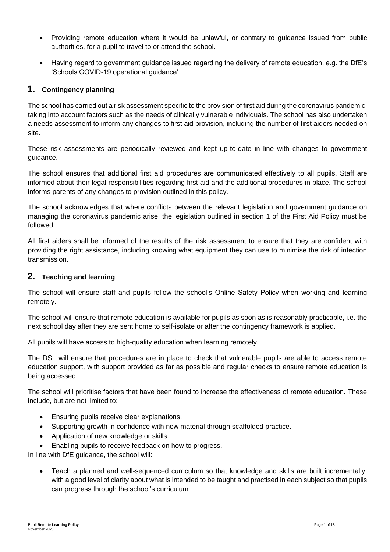- Providing remote education where it would be unlawful, or contrary to guidance issued from public authorities, for a pupil to travel to or attend the school.
- Having regard to government guidance issued regarding the delivery of remote education, e.g. the DfE's 'Schools COVID-19 operational guidance'.

### **1. Contingency planning**

The school has carried out a risk assessment specific to the provision of first aid during the coronavirus pandemic, taking into account factors such as the needs of clinically vulnerable individuals. The school has also undertaken a needs assessment to inform any changes to first aid provision, including the number of first aiders needed on site.

These risk assessments are periodically reviewed and kept up-to-date in line with changes to government guidance.

The school ensures that additional first aid procedures are communicated effectively to all pupils. Staff are informed about their legal responsibilities regarding first aid and the additional procedures in place. The school informs parents of any changes to provision outlined in this policy.

The school acknowledges that where conflicts between the relevant legislation and government guidance on managing the coronavirus pandemic arise, the legislation outlined in section 1 of the First Aid Policy must be followed.

All first aiders shall be informed of the results of the risk assessment to ensure that they are confident with providing the right assistance, including knowing what equipment they can use to minimise the risk of infection transmission.

### **2. Teaching and learning**

The school will ensure staff and pupils follow the school's Online Safety Policy when working and learning remotely.

The school will ensure that remote education is available for pupils as soon as is reasonably practicable, i.e. the next school day after they are sent home to self-isolate or after the contingency framework is applied.

All pupils will have access to high-quality education when learning remotely.

The DSL will ensure that procedures are in place to check that vulnerable pupils are able to access remote education support, with support provided as far as possible and regular checks to ensure remote education is being accessed.

The school will prioritise factors that have been found to increase the effectiveness of remote education. These include, but are not limited to:

- **Ensuring pupils receive clear explanations.**
- Supporting growth in confidence with new material through scaffolded practice.
- Application of new knowledge or skills.
- Enabling pupils to receive feedback on how to progress.

In line with DfE guidance, the school will:

 Teach a planned and well-sequenced curriculum so that knowledge and skills are built incrementally, with a good level of clarity about what is intended to be taught and practised in each subject so that pupils can progress through the school's curriculum.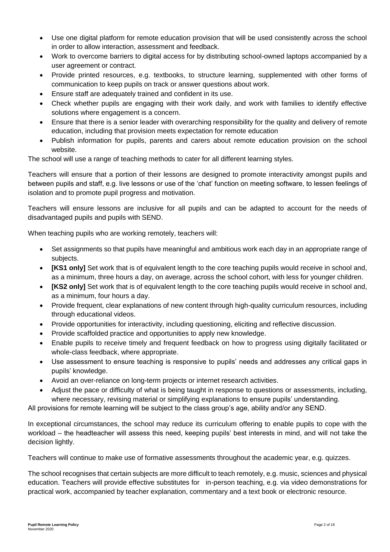- Use one digital platform for remote education provision that will be used consistently across the school in order to allow interaction, assessment and feedback.
- Work to overcome barriers to digital access for by distributing school-owned laptops accompanied by a user agreement or contract.
- Provide printed resources, e.g. textbooks, to structure learning, supplemented with other forms of communication to keep pupils on track or answer questions about work.
- Ensure staff are adequately trained and confident in its use.
- Check whether pupils are engaging with their work daily, and work with families to identify effective solutions where engagement is a concern.
- Ensure that there is a senior leader with overarching responsibility for the quality and delivery of remote education, including that provision meets expectation for remote education
- Publish information for pupils, parents and carers about remote education provision on the school website.

The school will use a range of teaching methods to cater for all different learning styles.

Teachers will ensure that a portion of their lessons are designed to promote interactivity amongst pupils and between pupils and staff, e.g. live lessons or use of the 'chat' function on meeting software, to lessen feelings of isolation and to promote pupil progress and motivation.

Teachers will ensure lessons are inclusive for all pupils and can be adapted to account for the needs of disadvantaged pupils and pupils with SEND.

When teaching pupils who are working remotely, teachers will:

- Set assignments so that pupils have meaningful and ambitious work each day in an appropriate range of subjects.
- **[KS1 only]** Set work that is of equivalent length to the core teaching pupils would receive in school and, as a minimum, three hours a day, on average, across the school cohort, with less for younger children.
- **[KS2 only]** Set work that is of equivalent length to the core teaching pupils would receive in school and, as a minimum, four hours a day.
- Provide frequent, clear explanations of new content through high-quality curriculum resources, including through educational videos.
- Provide opportunities for interactivity, including questioning, eliciting and reflective discussion.
- Provide scaffolded practice and opportunities to apply new knowledge.
- Enable pupils to receive timely and frequent feedback on how to progress using digitally facilitated or whole-class feedback, where appropriate.
- Use assessment to ensure teaching is responsive to pupils' needs and addresses any critical gaps in pupils' knowledge.
- Avoid an over-reliance on long-term projects or internet research activities.
- Adjust the pace or difficulty of what is being taught in response to questions or assessments, including, where necessary, revising material or simplifying explanations to ensure pupils' understanding.

All provisions for remote learning will be subject to the class group's age, ability and/or any SEND.

In exceptional circumstances, the school may reduce its curriculum offering to enable pupils to cope with the workload – the headteacher will assess this need, keeping pupils' best interests in mind, and will not take the decision lightly.

Teachers will continue to make use of formative assessments throughout the academic year, e.g. quizzes.

The school recognises that certain subjects are more difficult to teach remotely, e.g. music, sciences and physical education. Teachers will provide effective substitutes for in-person teaching, e.g. via video demonstrations for practical work, accompanied by teacher explanation, commentary and a text book or electronic resource.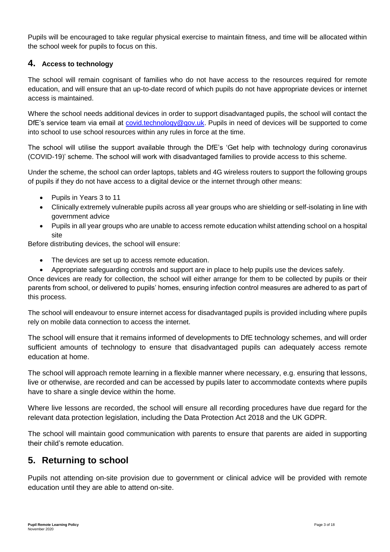Pupils will be encouraged to take regular physical exercise to maintain fitness, and time will be allocated within the school week for pupils to focus on this.

### **4. Access to technology**

The school will remain cognisant of families who do not have access to the resources required for remote education, and will ensure that an up-to-date record of which pupils do not have appropriate devices or internet access is maintained.

Where the school needs additional devices in order to support disadvantaged pupils, the school will contact the DfE's service team via email at [covid.technology@gov.uk.](mailto:covid.technology@gov.uk) Pupils in need of devices will be supported to come into school to use school resources within any rules in force at the time.

The school will utilise the support available through the DfE's 'Get help with technology during coronavirus (COVID-19)' scheme. The school will work with disadvantaged families to provide access to this scheme.

Under the scheme, the school can order laptops, tablets and 4G wireless routers to support the following groups of pupils if they do not have access to a digital device or the internet through other means:

- Pupils in Years 3 to 11
- Clinically extremely vulnerable pupils across all year groups who are shielding or self-isolating in line with government advice
- Pupils in all year groups who are unable to access remote education whilst attending school on a hospital site

Before distributing devices, the school will ensure:

- The devices are set up to access remote education.
- Appropriate safeguarding controls and support are in place to help pupils use the devices safely.

Once devices are ready for collection, the school will either arrange for them to be collected by pupils or their parents from school, or delivered to pupils' homes, ensuring infection control measures are adhered to as part of this process.

The school will endeavour to ensure internet access for disadvantaged pupils is provided including where pupils rely on mobile data connection to access the internet.

The school will ensure that it remains informed of developments to DfE technology schemes, and will order sufficient amounts of technology to ensure that disadvantaged pupils can adequately access remote education at home.

The school will approach remote learning in a flexible manner where necessary, e.g. ensuring that lessons, live or otherwise, are recorded and can be accessed by pupils later to accommodate contexts where pupils have to share a single device within the home.

Where live lessons are recorded, the school will ensure all recording procedures have due regard for the relevant data protection legislation, including the Data Protection Act 2018 and the UK GDPR.

The school will maintain good communication with parents to ensure that parents are aided in supporting their child's remote education.

# **5. Returning to school**

Pupils not attending on-site provision due to government or clinical advice will be provided with remote education until they are able to attend on-site.